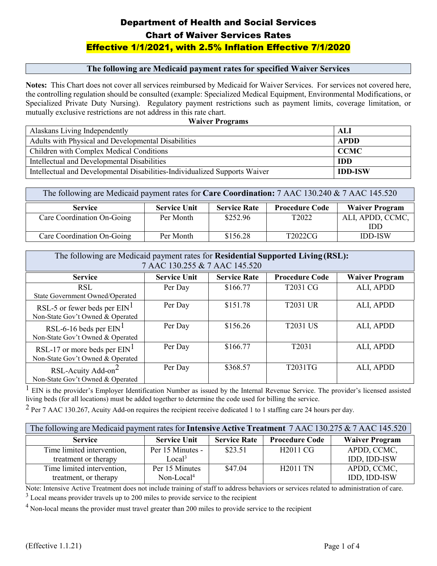#### **The following are Medicaid payment rates for specified Waiver Services**

**Notes:** This Chart does not cover all services reimbursed by Medicaid for Waiver Services. For services not covered here, the controlling regulation should be consulted (example: Specialized Medical Equipment, Environmental Modifications, or Specialized Private Duty Nursing). Regulatory payment restrictions such as payment limits, coverage limitation, or mutually exclusive restrictions are not address in this rate chart.

| <b>Waiver Programs</b>                                                     |                |  |  |
|----------------------------------------------------------------------------|----------------|--|--|
| Alaskans Living Independently                                              | ALI            |  |  |
| Adults with Physical and Developmental Disabilities                        | <b>APDD</b>    |  |  |
| Children with Complex Medical Conditions                                   | <b>CCMC</b>    |  |  |
| Intellectual and Developmental Disabilities                                | <b>IDD</b>     |  |  |
| Intellectual and Developmental Disabilities-Individualized Supports Waiver | <b>IDD-ISW</b> |  |  |

| The following are Medicaid payment rates for Care Coordination: 7 AAC 130.240 & 7 AAC 145.520                  |           |          |                   |                  |  |
|----------------------------------------------------------------------------------------------------------------|-----------|----------|-------------------|------------------|--|
| <b>Waiver Program</b><br><b>Procedure Code</b><br><b>Service Rate</b><br><b>Service Unit</b><br><b>Service</b> |           |          |                   |                  |  |
| Care Coordination On-Going                                                                                     | Per Month | \$252.96 | T <sub>2022</sub> | ALI, APDD, CCMC, |  |
|                                                                                                                |           |          |                   | IDD              |  |
| Care Coordination On-Going                                                                                     | Per Month | \$156.28 | T2022CG           | <b>IDD-ISW</b>   |  |

| The following are Medicaid payment rates for Residential Supported Living (RSL):<br>7 AAC 130.255 & 7 AAC 145.520 |                     |                     |                       |                       |
|-------------------------------------------------------------------------------------------------------------------|---------------------|---------------------|-----------------------|-----------------------|
| <b>Service</b>                                                                                                    | <b>Service Unit</b> | <b>Service Rate</b> | <b>Procedure Code</b> | <b>Waiver Program</b> |
| <b>RSL</b><br>State Government Owned/Operated                                                                     | Per Day             | \$166.77            | T2031 CG              | ALI, APDD             |
| RSL-5 or fewer beds per $EM1$<br>Non-State Gov't Owned & Operated                                                 | Per Day             | \$151.78            | <b>T2031 UR</b>       | ALI, APDD             |
| RSL-6-16 beds per $EM1$<br>Non-State Gov't Owned & Operated                                                       | Per Day             | \$156.26            | <b>T2031 US</b>       | ALI, APDD             |
| RSL-17 or more beds per $EIN1$<br>Non-State Gov't Owned & Operated                                                | Per Day             | \$166.77            | T2031                 | ALI, APDD             |
| RSL-Acuity Add-on <sup>2</sup><br>Non-State Gov't Owned & Operated                                                | Per Day             | \$368.57            | T2031TG               | ALI, APDD             |

 $<sup>1</sup>$  EIN is the provider's Employer Identification Number as issued by the Internal Revenue Service. The provider's licensed assisted</sup> living beds (for all locations) must be added together to determine the code used for billing the service.

 $2$  Per 7 AAC 130.267, Acuity Add-on requires the recipient receive dedicated 1 to 1 staffing care 24 hours per day.

| The following are Medicaid payment rates for <b>Intensive Active Treatment</b> 7 AAC 130.275 & 7 AAC 145.520 |                     |                     |                       |                       |
|--------------------------------------------------------------------------------------------------------------|---------------------|---------------------|-----------------------|-----------------------|
| <b>Service</b>                                                                                               | <b>Service Unit</b> | <b>Service Rate</b> | <b>Procedure Code</b> | <b>Waiver Program</b> |
| Time limited intervention,                                                                                   | Per 15 Minutes -    | \$23.51             | H <sub>2011</sub> CG  | APDD, CCMC,           |
| treatment or therapy                                                                                         | Local <sup>3</sup>  |                     |                       | IDD, IDD-ISW          |
| Time limited intervention,                                                                                   | Per 15 Minutes      | \$47.04             | <b>H2011 TN</b>       | APDD, CCMC,           |
| treatment, or therapy                                                                                        | $Non-Local4$        |                     |                       | IDD, IDD-ISW          |

Note: Intensive Active Treatment does not include training of staff to address behaviors or services related to administration of care.

<sup>3</sup> Local means provider travels up to 200 miles to provide service to the recipient

 $<sup>4</sup>$  Non-local means the provider must travel greater than 200 miles to provide service to the recipient</sup>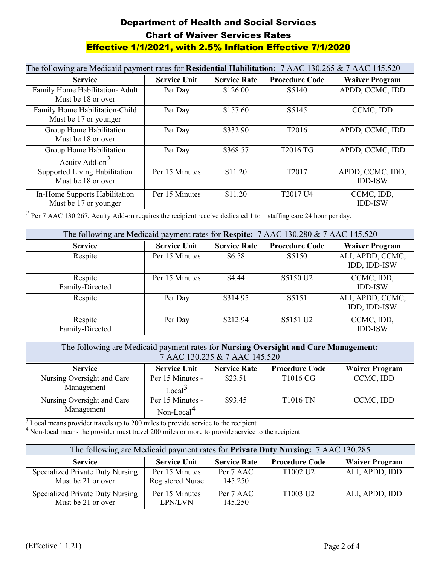| The following are Medicaid payment rates for Residential Habilitation: 7 AAC 130.265 & 7 AAC 145.520 |                     |                     |                                  |                                    |
|------------------------------------------------------------------------------------------------------|---------------------|---------------------|----------------------------------|------------------------------------|
| <b>Service</b>                                                                                       | <b>Service Unit</b> | <b>Service Rate</b> | <b>Procedure Code</b>            | <b>Waiver Program</b>              |
| Family Home Habilitation- Adult<br>Must be 18 or over                                                | Per Day             | \$126.00            | S <sub>5</sub> 140               | APDD, CCMC, IDD                    |
| Family Home Habilitation-Child<br>Must be 17 or younger                                              | Per Day             | \$157.60            | S5145                            | CCMC, IDD                          |
| Group Home Habilitation<br>Must be 18 or over                                                        | Per Day             | \$332.90            | T <sub>2016</sub>                | APDD, CCMC, IDD                    |
| Group Home Habilitation<br>Acuity Add-on <sup>2</sup>                                                | Per Day             | \$368.57            | T2016 TG                         | APDD, CCMC, IDD                    |
| Supported Living Habilitation<br>Must be 18 or over                                                  | Per 15 Minutes      | \$11.20             | T <sub>2017</sub>                | APDD, CCMC, IDD,<br><b>IDD-ISW</b> |
| In-Home Supports Habilitation<br>Must be 17 or younger                                               | Per 15 Minutes      | \$11.20             | T <sub>2017</sub> U <sub>4</sub> | CCMC, IDD,<br><b>IDD-ISW</b>       |

 $\frac{2}{2}$  Per 7 AAC 130.267, Acuity Add-on requires the recipient receive dedicated 1 to 1 staffing care 24 hour per day.

| The following are Medicaid payment rates for Respite: 7 AAC 130.280 & 7 AAC 145.520 |                     |                     |                       |                                  |
|-------------------------------------------------------------------------------------|---------------------|---------------------|-----------------------|----------------------------------|
| <b>Service</b>                                                                      | <b>Service Unit</b> | <b>Service Rate</b> | <b>Procedure Code</b> | <b>Waiver Program</b>            |
| Respite                                                                             | Per 15 Minutes      | \$6.58              | S5150                 | ALI, APDD, CCMC,<br>IDD, IDD-ISW |
| Respite<br>Family-Directed                                                          | Per 15 Minutes      | \$4.44              | S5150 U2              | CCMC, IDD,<br><b>IDD-ISW</b>     |
| Respite                                                                             | Per Day             | \$314.95            | S5151                 | ALI, APDD, CCMC,<br>IDD, IDD-ISW |
| Respite<br>Family-Directed                                                          | Per Day             | \$212.94            | S5151 U2              | CCMC, IDD,<br><b>IDD-ISW</b>     |

| The following are Medicaid payment rates for <b>Nursing Oversight and Care Management:</b><br>7 AAC 130.235 & 7 AAC 145.520 |                                            |                     |                       |                       |
|-----------------------------------------------------------------------------------------------------------------------------|--------------------------------------------|---------------------|-----------------------|-----------------------|
| <b>Service</b>                                                                                                              | <b>Service Unit</b>                        | <b>Service Rate</b> | <b>Procedure Code</b> | <b>Waiver Program</b> |
| Nursing Oversight and Care<br>Management                                                                                    | Per 15 Minutes -<br>Local <sup>3</sup>     | \$23.51             | T1016 CG              | CCMC, IDD             |
| Nursing Oversight and Care<br>Management                                                                                    | Per 15 Minutes -<br>Non-Local <sup>4</sup> | \$93.45             | <b>T1016 TN</b>       | CCMC, IDD             |

<sup>3</sup> Local means provider travels up to 200 miles to provide service to the recipient

<sup>4</sup> Non-local means the provider must travel 200 miles or more to provide service to the recipient

| The following are Medicaid payment rates for Private Duty Nursing: 7 AAC 130.285 |                                           |                      |                       |                       |
|----------------------------------------------------------------------------------|-------------------------------------------|----------------------|-----------------------|-----------------------|
| <b>Service</b>                                                                   | <b>Service Unit</b>                       | <b>Service Rate</b>  | <b>Procedure Code</b> | <b>Waiver Program</b> |
| Specialized Private Duty Nursing<br>Must be 21 or over                           | Per 15 Minutes<br><b>Registered Nurse</b> | Per 7 AAC<br>145.250 | T1002 U2              | ALI, APDD, IDD        |
| Specialized Private Duty Nursing<br>Must be 21 or over                           | Per 15 Minutes<br>LPN/LVN                 | Per 7 AAC<br>145.250 | T1003 U2              | ALI, APDD, IDD        |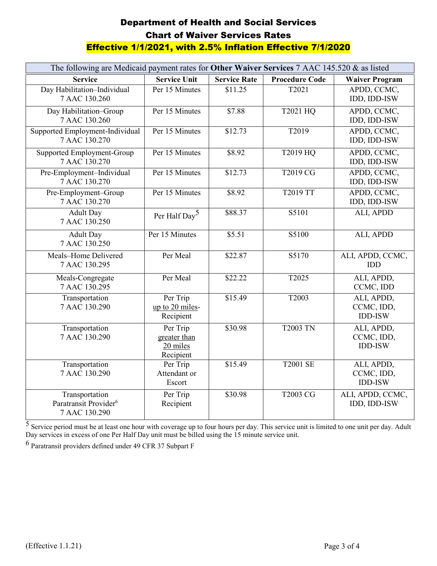| The following are Medicaid payment rates for Other Waiver Services 7 AAC 145.520 & as listed |                                                   |                     |                       |                                            |
|----------------------------------------------------------------------------------------------|---------------------------------------------------|---------------------|-----------------------|--------------------------------------------|
| <b>Service</b>                                                                               | <b>Service Unit</b>                               | <b>Service Rate</b> | <b>Procedure Code</b> | <b>Waiver Program</b>                      |
| Day Habilitation-Individual<br>7 AAC 130.260                                                 | Per 15 Minutes                                    | \$11.25             | T2021                 | APDD, CCMC,<br>IDD, IDD-ISW                |
| Day Habilitation-Group<br>7 AAC 130.260                                                      | Per 15 Minutes                                    | \$7.88              | T2021 HQ              | APDD, CCMC,<br>IDD, IDD-ISW                |
| Supported Employment-Individual<br>7 AAC 130.270                                             | Per 15 Minutes                                    | \$12.73             | T2019                 | APDD, CCMC,<br>IDD, IDD-ISW                |
| Supported Employment-Group<br>7 AAC 130.270                                                  | Per 15 Minutes                                    | \$8.92              | T2019 HQ              | APDD, CCMC,<br>IDD, IDD-ISW                |
| Pre-Employment-Individual<br>7 AAC 130.270                                                   | Per 15 Minutes                                    | \$12.73             | T2019 CG              | APDD, CCMC,<br>IDD, IDD-ISW                |
| Pre-Employment-Group<br>7 AAC 130.270                                                        | Per 15 Minutes                                    | \$8.92              | <b>T2019 TT</b>       | APDD, CCMC,<br>IDD, IDD-ISW                |
| <b>Adult Day</b><br>7 AAC 130.250                                                            | Per Half Day <sup>5</sup>                         | \$88.37             | S5101                 | ALI, APDD                                  |
| <b>Adult Day</b><br>7 AAC 130.250                                                            | Per 15 Minutes                                    | \$5.51              | S5100                 | ALI, APDD                                  |
| Meals-Home Delivered<br>7 AAC 130.295                                                        | Per Meal                                          | \$22.87             | S5170                 | ALI, APDD, CCMC,<br><b>IDD</b>             |
| Meals-Congregate<br>7 AAC 130.295                                                            | Per Meal                                          | \$22.22             | T2025                 | ALI, APDD,<br>CCMC, IDD                    |
| Transportation<br>7 AAC 130.290                                                              | Per Trip<br>up to 20 miles-<br>Recipient          | \$15.49             | T2003                 | ALI, APDD,<br>CCMC, IDD,<br><b>IDD-ISW</b> |
| Transportation<br>7 AAC 130.290                                                              | Per Trip<br>greater than<br>20 miles<br>Recipient | \$30.98             | <b>T2003 TN</b>       | ALI, APDD,<br>CCMC, IDD,<br><b>IDD-ISW</b> |
| Transportation<br>7 AAC 130.290                                                              | Per Trip<br>Attendant or<br>Escort                | \$15.49             | <b>T2001 SE</b>       | ALI, APDD,<br>CCMC, IDD,<br><b>IDD-ISW</b> |
| Transportation<br>Paratransit Provider <sup>6</sup><br>7 AAC 130.290                         | Per Trip<br>Recipient                             | \$30.98             | <b>T2003 CG</b>       | ALI, APDD, CCMC,<br>IDD, IDD-ISW           |

<sup>5</sup> Service period must be at least one hour with coverage up to four hours per day. This service unit is limited to one unit per day. Adult Day services in excess of one Per Half Day unit must be billed using the 15 minute service unit.

6 Paratransit providers defined under 49 CFR 37 Subpart F